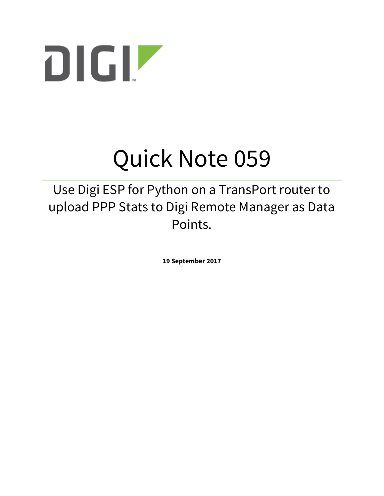

# Quick Note 059

Use Digi ESP for Python on a TransPort router to upload PPP Stats to Digi Remote Manager as Data Points.

**19 September 2017**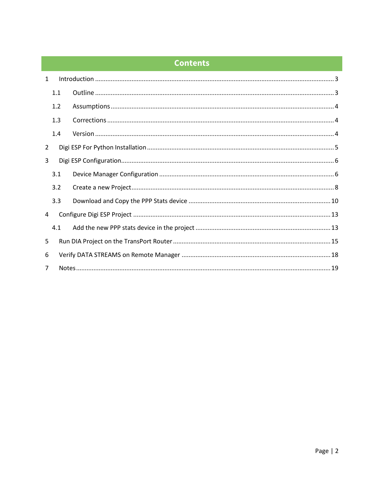# **Contents**

| $\mathbf{1}$   |     |  |
|----------------|-----|--|
|                | 1.1 |  |
|                | 1.2 |  |
|                | 1.3 |  |
|                | 1.4 |  |
| 2              |     |  |
| 3              |     |  |
|                | 3.1 |  |
|                | 3.2 |  |
|                | 3.3 |  |
| 4              |     |  |
|                | 4.1 |  |
| 5              |     |  |
| 6              |     |  |
| $\overline{7}$ |     |  |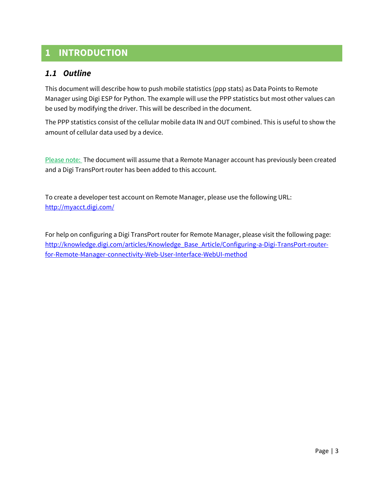# <span id="page-2-0"></span>**1 INTRODUCTION**

## <span id="page-2-1"></span>*1.1 Outline*

This document will describe how to push mobile statistics (ppp stats) as Data Points to Remote Manager using Digi ESP for Python. The example will use the PPP statistics but most other values can be used by modifying the driver. This will be described in the document.

The PPP statistics consist of the cellular mobile data IN and OUT combined. This is useful to show the amount of cellular data used by a device.

Please note: The document will assume that a Remote Manager account has previously been created and a Digi TransPort router has been added to this account.

To create a developer test account on Remote Manager, please use the following URL: <http://myacct.digi.com/>

For help on configuring a Digi TransPort router for Remote Manager, please visit the following page: [http://knowledge.digi.com/articles/Knowledge\\_Base\\_Article/Configuring-a-Digi-TransPort-router](http://knowledge.digi.com/articles/Knowledge_Base_Article/Configuring-a-Digi-TransPort-router-for-Remote-Manager-connectivity-Web-User-Interface-WebUI-method)[for-Remote-Manager-connectivity-Web-User-Interface-WebUI-method](http://knowledge.digi.com/articles/Knowledge_Base_Article/Configuring-a-Digi-TransPort-router-for-Remote-Manager-connectivity-Web-User-Interface-WebUI-method)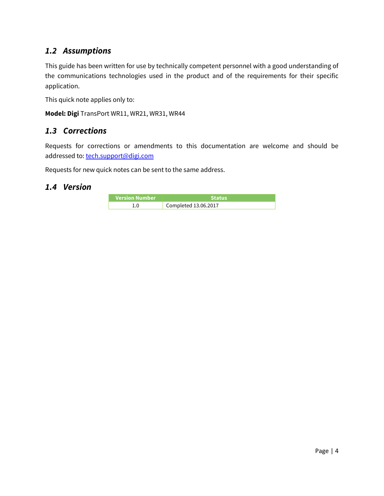## <span id="page-3-0"></span>*1.2 Assumptions*

This guide has been written for use by technically competent personnel with a good understanding of the communications technologies used in the product and of the requirements for their specific application.

This quick note applies only to:

**Model: Digi** TransPort WR11, WR21, WR31, WR44

### <span id="page-3-1"></span>*1.3 Corrections*

Requests for corrections or amendments to this documentation are welcome and should be addressed to: [tech.support@digi.com](mailto:tech.support@digi.com)

Requests for new quick notes can be sent to the same address.

#### <span id="page-3-2"></span>*1.4 Version*

| Version Number | <b>Status</b>        |
|----------------|----------------------|
|                | Completed 13.06.2017 |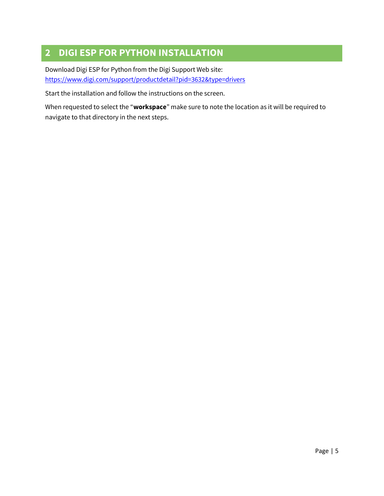# <span id="page-4-0"></span>**2 DIGI ESP FOR PYTHON INSTALLATION**

Download Digi ESP for Python from the Digi Support Web site: <https://www.digi.com/support/productdetail?pid=3632&type=drivers>

Start the installation and follow the instructions on the screen.

When requested to select the "**workspace**" make sure to note the location as it will be required to navigate to that directory in the next steps.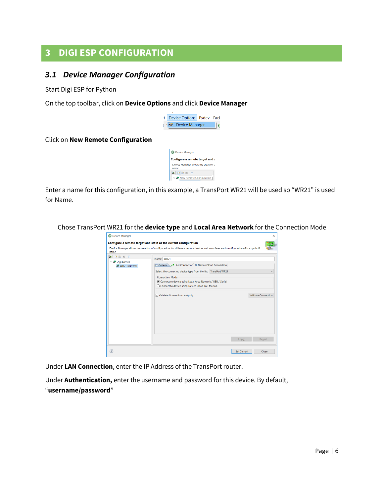## <span id="page-5-0"></span>**3 DIGI ESP CONFIGURATION**

## <span id="page-5-1"></span>*3.1 Device Manager Configuration*

Start Digi ESP for Python

On the top toolbar, click on **Device Options** and click **Device Manager**



Click on **New Remote Configuration**

| <b>B</b> Device Manager                      |
|----------------------------------------------|
| Configure a remote target and :              |
| Device Manager allows the creation o<br>name |
| $\bigcirc$ mexie                             |
| New Remote Configuration                     |

Enter a name for this configuration, in this example, a TransPort WR21 will be used so "WR21" is used for Name.

Chose TransPort WR21 for the **device type** and **Local Area Network** for the Connection Mode

| name                                                              | Device Manager allows the creation of configurations for different remote devices and associates each configuration with a symbolic                                                                                                                                                                                 |                                            |
|-------------------------------------------------------------------|---------------------------------------------------------------------------------------------------------------------------------------------------------------------------------------------------------------------------------------------------------------------------------------------------------------------|--------------------------------------------|
| $\bullet$ maxie<br>$\vee$ $\bullet$ Digi Device<br>WR21 (current) | Name: WR21<br>□ General ↓ IAN Connection ※ Device Cloud Connection<br>Select the connected device type from the list: TransPort WR21<br><b>Connection Mode</b><br>Connect to device using Local Area Network / USB / Serial.<br>◯ Connect to device using Device Cloud by Etherios.<br>Validate Connection on Apply | $\checkmark$<br><b>Validate Connection</b> |
|                                                                   | Apply                                                                                                                                                                                                                                                                                                               | Revert                                     |

Under **LAN Connection**, enter the IP Address of the TransPort router.

Under **Authentication,** enter the username and password for this device. By default, "**username/password**"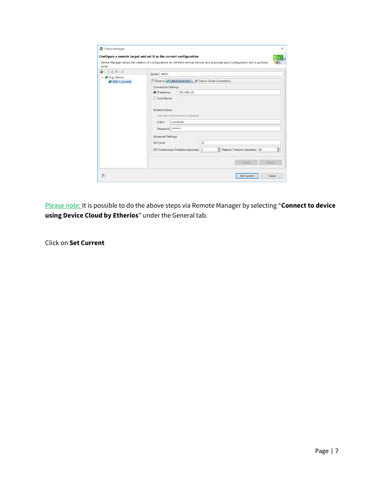| name                                                                         | Configure a remote target and set it as the current configuration<br>Device Manager allows the creation of configurations for different remote devices and associates each configuration with a symbolic |
|------------------------------------------------------------------------------|----------------------------------------------------------------------------------------------------------------------------------------------------------------------------------------------------------|
| $\bullet$ $\circ$ $\bullet$ $\times$ $\circ$<br>$\vee$ $\bullet$ Digi Device | Name: WR21                                                                                                                                                                                               |
| WR21 (current)                                                               | <b>El General M LAN Connection ※ Device Cloud Connection</b>                                                                                                                                             |
|                                                                              | <b>Connection Settings</b>                                                                                                                                                                               |
|                                                                              | <sup>O</sup> IP Address:<br>192.168.1.22                                                                                                                                                                 |
|                                                                              | ○ Host Name:                                                                                                                                                                                             |
|                                                                              | Authentication<br>$\vee$ Use login information if required<br>Login:<br>username<br>Password: ********                                                                                                   |
|                                                                              | <b>Advanced Settings</b>                                                                                                                                                                                 |
|                                                                              | 22<br>SSH port:<br>$\blacktriangle$<br>Reboot TimeOut (seconds): 60<br>TCP Connections TimeOut (seconds): 5<br>$\overline{\phantom{0}}$                                                                  |
|                                                                              | Revert<br>Apply                                                                                                                                                                                          |

Please note: It is possible to do the above steps via Remote Manager by selecting "**Connect to device using Device Cloud by Etherios**" under the General tab.

Click on **Set Current**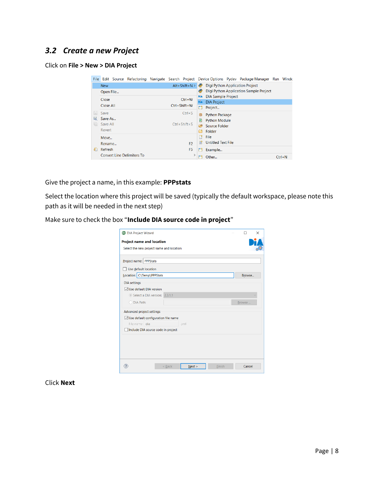## <span id="page-7-0"></span>*3.2 Create a new Project*

#### Click on **File > New > DIA Project**

|      |            |  |                                   |                    |                    |                    |                    |                           |  | File Edit Source Refactoring Navigate Search Project Device Options Pydev Package Manager Run Windo |            |
|------|------------|--|-----------------------------------|--------------------|--------------------|--------------------|--------------------|---------------------------|--|-----------------------------------------------------------------------------------------------------|------------|
|      | <b>New</b> |  |                                   |                    |                    | $Alt+Shift+N$      | e                  |                           |  | <b>Digi Python Application Project</b>                                                              |            |
|      | Open File  |  |                                   |                    |                    |                    |                    |                           |  | Digi Python Application Sample Project                                                              |            |
|      | Close      |  |                                   |                    |                    | $Ctrl+W$           | DÎA                | <b>DIA Sample Project</b> |  |                                                                                                     |            |
|      |            |  |                                   |                    |                    | <b>DIA</b>         | <b>DIA Project</b> |                           |  |                                                                                                     |            |
|      | Close All  |  |                                   |                    |                    | $Ctrl + Shift + W$ | ĒĴ.                | Project                   |  |                                                                                                     |            |
| H    | Save       |  |                                   |                    |                    | $Ctrl + S$         | 曲                  | <b>Python Package</b>     |  |                                                                                                     |            |
| Ы    | Save As    |  |                                   |                    |                    |                    | P                  | <b>Python Module</b>      |  |                                                                                                     |            |
| 赠    | Save All   |  |                                   | $Ctrl + Shift + S$ |                    |                    |                    |                           |  |                                                                                                     |            |
|      | Revert     |  |                                   |                    | 四<br>Source Folder |                    |                    |                           |  |                                                                                                     |            |
|      |            |  |                                   |                    |                    |                    | ∩°                 | Folder                    |  |                                                                                                     |            |
|      | Move       |  |                                   |                    |                    |                    | 曾                  | File                      |  |                                                                                                     |            |
|      | Rename     |  |                                   |                    |                    | F <sub>2</sub>     | 鹛                  | Untitled Text File        |  |                                                                                                     |            |
| ଟ୍ଟି | Refresh    |  |                                   |                    |                    | F <sub>5</sub>     | ГĴ.                | Example                   |  |                                                                                                     |            |
|      |            |  | <b>Convert Line Delimiters To</b> |                    |                    | $\mathcal{P}$      |                    | Other                     |  |                                                                                                     | $Ctrl + N$ |

Give the project a name, in this example: **PPPstats**

Select the location where this project will be saved (typically the default workspace, please note this path as it will be needed in the next step)

Make sure to check the box "**Include DIA source code in project**"

| Project name: PPPStats                             |                                    |      |  |        |
|----------------------------------------------------|------------------------------------|------|--|--------|
| Use default location<br>Location: C:\Temp\PPPStats |                                    |      |  | Browse |
|                                                    |                                    |      |  |        |
| <b>DIA</b> settings                                |                                    |      |  |        |
| ○ Use default DIA version                          |                                    |      |  |        |
|                                                    | Select a DIA version: 2.3.1.1      |      |  |        |
| O DIA Path:                                        |                                    |      |  | Browse |
| Advanced project settings                          |                                    |      |  |        |
| $\vee$ Use default configuration file name         |                                    |      |  |        |
| File name: dia                                     |                                    | .yml |  |        |
|                                                    | Include DIA source code in project |      |  |        |
|                                                    |                                    |      |  |        |

Click **Next**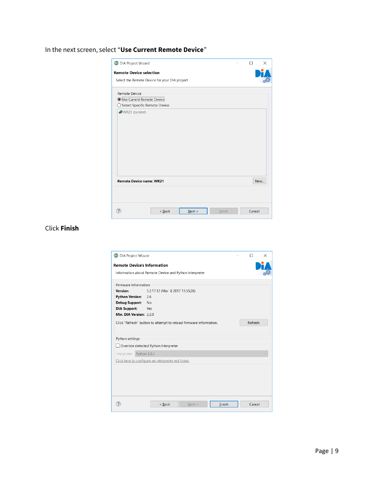### In the next screen, select "**Use Current Remote Device**"

| <b>BF</b> DIA Project Wizard                  |          |        |        | п | $\times$ |
|-----------------------------------------------|----------|--------|--------|---|----------|
| <b>Remote Device selection</b>                |          |        |        |   |          |
| Select the Remote Device for your DIA project |          |        |        |   |          |
| <b>Remote Device</b>                          |          |        |        |   |          |
| O Use Current Remote Device                   |          |        |        |   |          |
| ◯ Select Specific Remote Device               |          |        |        |   |          |
|                                               |          |        |        |   |          |
| <b>Remote Device name: WR21</b>               |          |        |        |   | New      |
|                                               |          |        |        |   |          |
|                                               | $<$ Back | Next > | Finish |   | Cancel   |

Click **Finish**

| <b>Firmware Information</b> |                                                                   |         |  |
|-----------------------------|-------------------------------------------------------------------|---------|--|
| Version:                    | 5.2.17.12 (Mar 8 2017 13:55:28)                                   |         |  |
| <b>Python Version: 2.6</b>  |                                                                   |         |  |
| Debug Support: No           |                                                                   |         |  |
| <b>DIA Support:</b>         | Yes                                                               |         |  |
| Min. DIA Version: 2.2.0     |                                                                   |         |  |
| Python settings             | Click "Refresh" button to attempt to reload firmware information. | Refresh |  |
|                             | Override detected Python Interpreter                              |         |  |
|                             |                                                                   |         |  |
|                             |                                                                   |         |  |
| Interpreter: Python 2.6.1   | Click here to configure an interpreter not listed.                |         |  |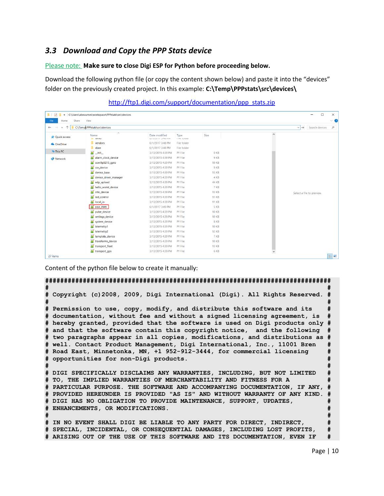## <span id="page-9-0"></span>*3.3 Download and Copy the PPP Stats device*

#### Please note: **Make sure to close Digi ESP for Python before proceeding below.**

Download the following python file (or copy the content shown below) and paste it into the "devices" folder on the previously created project. In this example: **C:\Temp\PPPstats\src\devices\**

| $\checkmark$<br>ш<br>$\overline{\mathbf{v}}$ | C:\Users\abeaumes\workspace\PPPstats\src\devices |                                       |                    |              |              | $\Box$                                          | $\times$ |
|----------------------------------------------|--------------------------------------------------|---------------------------------------|--------------------|--------------|--------------|-------------------------------------------------|----------|
| Share<br>File<br>Home                        | View                                             |                                       |                    |              |              |                                                 | $\vee$ 0 |
| 个<br>$\leftarrow$<br>$\checkmark$            | C:\Temp\PPPstats\src\devices                     |                                       |                    |              |              | Search devices<br>$\checkmark$<br>$\rightarrow$ | مر       |
| <b>Cuick access</b>                          | $\overline{\wedge}$<br>Name<br>$= 10085$         | Date modified<br>U/ I/ZU I/ DATO FIVE | Type<br>THE TURBER | Size         | $\land$      |                                                 |          |
| <b>A</b> OneDrive                            | $\blacksquare$ vendors                           | 6/1/2017 3:48 PM                      | File folder        |              |              |                                                 |          |
|                                              | I xbee                                           | 6/1/2017 3:48 PM                      | File folder        |              |              |                                                 |          |
| This PC                                      | $\mathbf{b}$<br>_init                            | 3/13/2015 4:39 PM                     | <b>PY File</b>     | 0 KB         |              |                                                 |          |
| Network                                      | Malarm_clock_device                              | 3/13/2015 4:39 PM                     | <b>PY File</b>     | 9 KB         |              |                                                 |          |
|                                              | ccwi9p9215_gpio                                  | 3/13/2015 4:39 PM                     | <b>PY File</b>     | <b>19 KB</b> |              |                                                 |          |
|                                              | <b>M</b> csv_device                              | 3/13/2015 4:39 PM                     | <b>PY File</b>     | 9 KB         |              |                                                 |          |
|                                              | device base                                      | 3/13/2015 4:39 PM                     | <b>PY File</b>     | <b>13 KB</b> |              |                                                 |          |
|                                              | device_driver_manager                            | 3/13/2015 4:39 PM                     | PY File            | 4 KB         |              |                                                 |          |
|                                              | edp_upload                                       | 3/13/2015 4:39 PM                     | <b>PY File</b>     | 44 KB        |              |                                                 |          |
|                                              | hello world device                               | 3/13/2015 4:39 PM                     | PY File            | 7 KB         |              |                                                 |          |
|                                              | and info_device                                  | 3/13/2015 4:39 PM                     | <b>PY File</b>     | <b>13 KB</b> |              | Select a file to preview.                       |          |
|                                              | <b>M</b> led_control                             | 3/13/2015 4:39 PM                     | <b>PY File</b>     | <b>11 KB</b> |              |                                                 |          |
|                                              | $P$ local io                                     | 3/13/2015 4:39 PM                     | PY File            | <b>11 KB</b> |              |                                                 |          |
|                                              | P ppp_stats                                      | 6/1/2017 3:49 PM                      | <b>PY File</b>     | 5 KB         |              |                                                 |          |
|                                              | pulse_device                                     | 3/13/2015 4:39 PM                     | PY File            | <b>10 KB</b> |              |                                                 |          |
|                                              | $\mathbb{R}$<br>settings_device                  | 3/13/2015 4:39 PM                     | PY File            | <b>10 KB</b> |              |                                                 |          |
|                                              | <b>P</b> system device                           | 3/13/2015 4:39 PM                     | PY File            | 8 KB         |              |                                                 |          |
|                                              | <b>M</b> telemetry1                              | 3/13/2015 4:39 PM                     | PY File            | <b>10 KB</b> |              |                                                 |          |
|                                              | telemetry2                                       | 3/13/2015 4:39 PM                     | <b>PY File</b>     | <b>12 KB</b> |              |                                                 |          |
|                                              | template_device                                  | 3/13/2015 4:39 PM                     | <b>PY File</b>     | 7 KB         |              |                                                 |          |
|                                              | transforms_device                                | 3/13/2015 4:39 PM                     | <b>PY File</b>     | <b>10 KB</b> |              |                                                 |          |
|                                              | transport_fleet                                  | 3/13/2015 4:39 PM                     | <b>PY File</b>     | <b>13 KB</b> |              |                                                 |          |
|                                              | transport_gps                                    | 3/13/2015 4:39 PM                     | <b>PY File</b>     | 6 KB         | $\checkmark$ |                                                 |          |
| 27 items                                     |                                                  |                                       |                    |              |              |                                                 | 建国       |

#### [http://ftp1.digi.com/support/documentation/ppp\\_stats.zip](http://ftp1.digi.com/support/documentation/ppp_stats.zip)

Content of the python file below to create it manually:

```
############################################################################
# #
# Copyright (c)2008, 2009, Digi International (Digi). All Rights Reserved. #
# #
# Permission to use, copy, modify, and distribute this software and its #
# documentation, without fee and without a signed licensing agreement, is #
# hereby granted, provided that the software is used on Digi products only #
# and that the software contain this copyright notice, and the following #
# two paragraphs appear in all copies, modifications, and distributions as #
# well. Contact Product Management, Digi International, Inc., 11001 Bren #
# Road East, Minnetonka, MN, +1 952-912-3444, for commercial licensing #
# opportunities for non-Digi products. #
# #
# DIGI SPECIFICALLY DISCLAIMS ANY WARRANTIES, INCLUDING, BUT NOT LIMITED #
# TO, THE IMPLIED WARRANTIES OF MERCHANTABILITY AND FITNESS FOR A #
# PARTICULAR PURPOSE. THE SOFTWARE AND ACCOMPANYING DOCUMENTATION, IF ANY, #
# PROVIDED HEREUNDER IS PROVIDED "AS IS" AND WITHOUT WARRANTY OF ANY KIND. #
# DIGI HAS NO OBLIGATION TO PROVIDE MAINTENANCE, SUPPORT, UPDATES, #
# ENHANCEMENTS, OR MODIFICATIONS. #
# #
# IN NO EVENT SHALL DIGI BE LIABLE TO ANY PARTY FOR DIRECT, INDIRECT, #
# SPECIAL, INCIDENTAL, OR CONSEQUENTIAL DAMAGES, INCLUDING LOST PROFITS, #
# ARISING OUT OF THE USE OF THIS SOFTWARE AND ITS DOCUMENTATION, EVEN IF #
```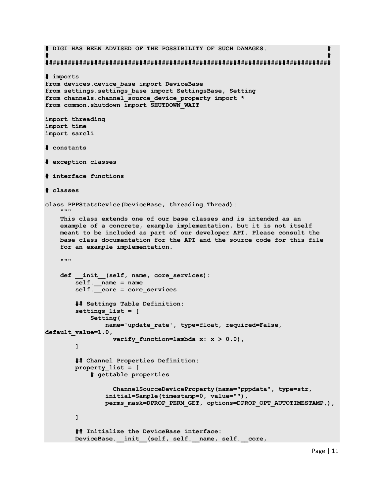**# DIGI HAS BEEN ADVISED OF THE POSSIBILITY OF SUCH DAMAGES. # # # ############################################################################ # imports from devices.device\_base import DeviceBase from settings.settings\_base import SettingsBase, Setting from channels.channel\_source\_device\_property import \* from common.shutdown import SHUTDOWN\_WAIT import threading import time import sarcli # constants # exception classes # interface functions # classes class PPPStatsDevice(DeviceBase, threading.Thread):** *<u>""</u>*  **This class extends one of our base classes and is intended as an example of a concrete, example implementation, but it is not itself meant to be included as part of our developer API. Please consult the base class documentation for the API and the source code for this file for an example implementation. """ def \_\_init\_\_(self, name, core\_services): self.\_\_name = name self.\_\_core = core\_services ## Settings Table Definition: settings\_list = [ Setting( name='update\_rate', type=float, required=False, default\_value=1.0, verify** function=lambda  $x: x > 0.0$ ,  **] ## Channel Properties Definition: property\_list = [ # gettable properties ChannelSourceDeviceProperty(name="pppdata", type=str, initial=Sample(timestamp=0, value=""), perms\_mask=DPROP\_PERM\_GET, options=DPROP\_OPT\_AUTOTIMESTAMP,), ] ## Initialize the DeviceBase interface:** DeviceBase. init (self, self. name, self. core,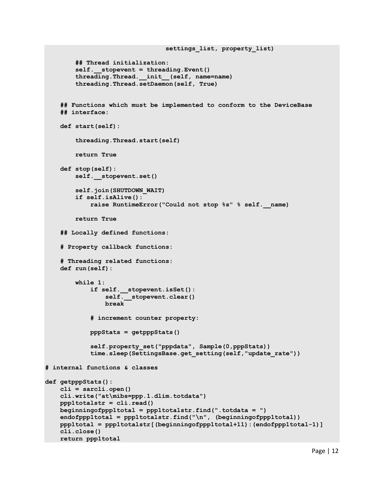```
 ## Thread initialization:
         self.__stopevent = threading.Event()
         threading.Thread.__init__(self, name=name)
         threading.Thread.setDaemon(self, True)
     ## Functions which must be implemented to conform to the DeviceBase
     ## interface:
     def start(self):
         threading.Thread.start(self)
         return True
     def stop(self):
         self.__stopevent.set()
         self.join(SHUTDOWN_WAIT)
         if self.isAlive():
             raise RuntimeError("Could not stop %s" % self.__name)
         return True
     ## Locally defined functions: 
     # Property callback functions:
     # Threading related functions:
     def run(self):
         while 1:
             if self.__stopevent.isSet():
                self. stopevent.clear()
                 break
             # increment counter property:
             pppStats = getpppStats()
             self.property_set("pppdata", Sample(0,pppStats))
             time.sleep(SettingsBase.get_setting(self,"update_rate"))
# internal functions & classes
def getpppStats():
     cli = sarcli.open()
     cli.write("at\mibs=ppp.1.dlim.totdata")
     ppp1totalstr = cli.read()
     beginningofppp1total = ppp1totalstr.find(".totdata = ")
     endofppp1total = ppp1totalstr.find("\n", (beginningofppp1total))
     ppp1total = ppp1totalstr[(beginningofppp1total+11):(endofppp1total-1)]
     cli.close()
     return ppp1total
```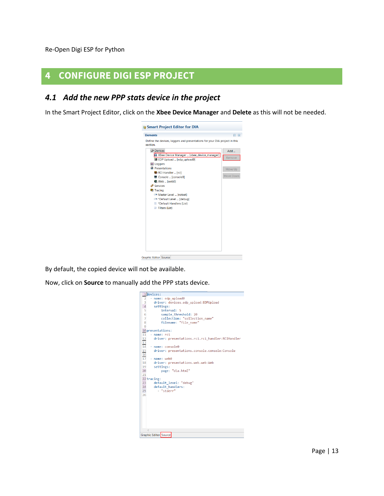Re-Open Digi ESP for Python

## <span id="page-12-0"></span>**4 CONFIGURE DIGI ESP PROJECT**

### <span id="page-12-1"></span>*4.1 Add the new PPP stats device in the project*

In the Smart Project Editor, click on the **Xbee Device Manager** and **Delete** as this will not be needed.



By default, the copied device will not be available.

Now, click on **Source** to manually add the PPP stats device.

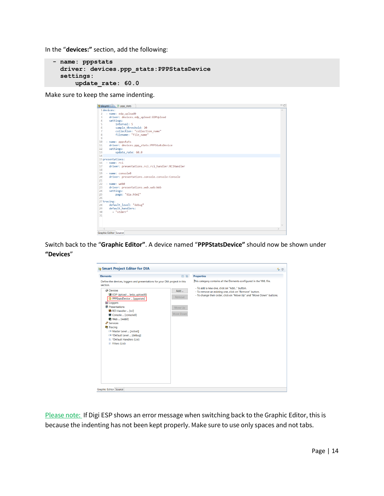In the "**devices:"** section, add the following:

```
 - name: pppstats
   driver: devices.ppp_stats:PPPStatsDevice
   settings: 
       update_rate: 60.0
```
Make sure to keep the same indenting.

| iv dia.yml 8 P ppp_stats                               | $=$ $\Box$    |
|--------------------------------------------------------|---------------|
| 1devices:                                              | $\wedge$      |
| - name: edp upload0<br>2                               |               |
| driver: devices.edp_upload:EDPUpload<br>3              |               |
| settings:<br>Δ                                         |               |
| interval: 5<br>5                                       |               |
| sample threshold: 20<br>6                              |               |
| collection: "collection name"<br>7                     |               |
| filename: "file_name"<br>8                             |               |
| 9                                                      |               |
| 10<br>- name: pppstats                                 |               |
| 11<br>driver: devices.ppp stats:PPPStatsDevice         |               |
| 12<br>settings:                                        |               |
| 13<br>update rate: 60.0                                |               |
| 14                                                     |               |
| 15 presentations:                                      |               |
| - name: rci<br>16                                      |               |
| driver: presentations.rci.rci_handler:RCIHandler<br>17 |               |
| 18                                                     |               |
| 19<br>- name: console0                                 |               |
| driver: presentations.console.console:Console<br>20    |               |
| 21                                                     |               |
| 22<br>- name: web0                                     |               |
| 23<br>driver: presentations.web.web:Web                |               |
| 24<br>settings:                                        |               |
| 25<br>page: "dia.html"                                 |               |
| 26                                                     |               |
| 27 tracing:                                            |               |
| default level: "debug"<br>28                           |               |
| default handlers:<br>29                                |               |
| - "stderr"<br>30                                       |               |
| 31                                                     |               |
|                                                        |               |
|                                                        |               |
| $\,<\,$                                                | $\mathcal{P}$ |
|                                                        |               |
| <b>Graphic Editor Source</b>                           |               |

Switch back to the "**Graphic Editor"**. A device named "**PPPStatsDevice"** should now be shown under **"Devices**"

| <b>Elements</b>                                                                                                                                                                                                                                                                                                                                                                                                                                    | 日用                                    | <b>Properties</b>                                                                                                                                                                                                                                   |
|----------------------------------------------------------------------------------------------------------------------------------------------------------------------------------------------------------------------------------------------------------------------------------------------------------------------------------------------------------------------------------------------------------------------------------------------------|---------------------------------------|-----------------------------------------------------------------------------------------------------------------------------------------------------------------------------------------------------------------------------------------------------|
| Define the devices, loggers and presentations for your DIA project in this<br>section.<br><b>Devices</b><br>温 EDP Upload  [edp_upload0]<br><sup>2</sup> PPPStatsDevice  [pppstats]<br>Loggers<br><b>R</b> Presentations<br>● RCI Handler  [rci]<br>Console  [console0]<br>Web  [web0]<br><sup>2</sup> Services<br><b>Tracing</b><br>Master Level  [notset]<br>E *Default Level  [debug]<br><b>E *Default Handlers (List)</b><br>$E$ Filters (List) | Add<br>Remove<br>Move Up<br>Move Down | This category contains all the Elements configured in the YML file.<br>- To add a new one, click on "Add" button.<br>- To remove an existing one, click on "Remove" button.<br>- To change their order, click on "Move Up" and "Move Down" buttons. |
|                                                                                                                                                                                                                                                                                                                                                                                                                                                    |                                       |                                                                                                                                                                                                                                                     |

Please note: If Digi ESP shows an error message when switching back to the Graphic Editor, this is because the indenting has not been kept properly. Make sure to use only spaces and not tabs.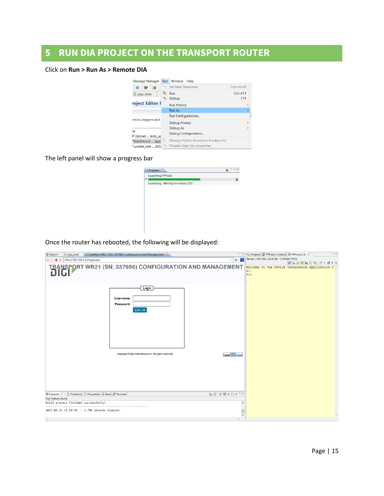# <span id="page-14-0"></span>**5 RUN DIA PROJECT ON THE TRANSPORT ROUTER**

#### Click on **Run > Run As > Remote DIA**

| Package Manager     | <b>Run</b>        | Window<br>Help                      |                  |  |  |
|---------------------|-------------------|-------------------------------------|------------------|--|--|
| 资<br>罗<br>G         | $\Rightarrow$     | <b>Set Next Statement</b>           | $Ctrl + Alt + R$ |  |  |
| <b>P</b> ppp_stats  | Q,                | Run                                 | $Ctrl + F11$     |  |  |
|                     |                   | Debug                               | F11              |  |  |
| roject Editor f     |                   | <b>Run History</b>                  |                  |  |  |
|                     |                   | <b>Run As</b>                       |                  |  |  |
|                     |                   | Run Configurations                  |                  |  |  |
| evices, loggers and |                   | <b>Debug History</b>                | ⋋                |  |  |
|                     |                   | Debug As                            |                  |  |  |
| es                  |                   | Debug Configurations                |                  |  |  |
| P Upload  [edp_up   |                   |                                     |                  |  |  |
| StatsDevice  [ppr   | $P_{\frac{0}{2}}$ | Manage Python Exception Breakpoints |                  |  |  |
| *update rate  [60.0 | Q                 | Disable Step into properties        |                  |  |  |

The left panel will show a progress bar

| <b>B</b> Progress &                     |  |
|-----------------------------------------|--|
| <b>Launching PPPstats</b>               |  |
| H<br>Launching: Waiting for reboot (33) |  |
|                                         |  |
|                                         |  |
|                                         |  |
|                                         |  |
|                                         |  |
|                                         |  |
|                                         |  |
|                                         |  |

Once the router has rebooted, the following will be displayed:

| <b>P</b> ppp_stats<br>tw dia.yml                                     | TransPort WR21 (SN: 337986) Configuration and Management & | $= 1$                               | $\overline{\phantom{m}}$<br>Progress PPPstats Console PPPstats CLI 23                                  |
|----------------------------------------------------------------------|------------------------------------------------------------|-------------------------------------|--------------------------------------------------------------------------------------------------------|
| http://192.168.1.22/login.asp<br>$\mathbb{R}^3$<br>$\Leftrightarrow$ |                                                            | $\rightarrow$<br>b.<br>$\checkmark$ | Telnet: (192.168.1.22:4146 - CONNECTED)                                                                |
| U.D                                                                  | TRANSPORT WR21 (SN: 337986) CONFIGURATION AND MANAGEMENT   |                                     | NB. JE 24 h 8   9 - 2 - X<br>Welcome to the Device Integration Application C A<br>LI.<br>$\Rightarrow$ |
|                                                                      | Login<br>Username:<br>Password:<br>LOG IN                  |                                     |                                                                                                        |
|                                                                      | Copyright © Digi International Inc. All rights reserved.   | <b>WEBSERVER</b>                    |                                                                                                        |
| Console & Problems E Properties & Tasks & Terminal                   |                                                            | <b>Balde-B-</b>                     |                                                                                                        |
| Digi Python-Build                                                    |                                                            |                                     |                                                                                                        |
| Build process finished successfully!                                 |                                                            | $\wedge$                            |                                                                                                        |
| 2017-06-21 11:14:56 -- 1.794 seconds elapsed.                        |                                                            | $\checkmark$                        |                                                                                                        |
| $\langle$                                                            |                                                            |                                     |                                                                                                        |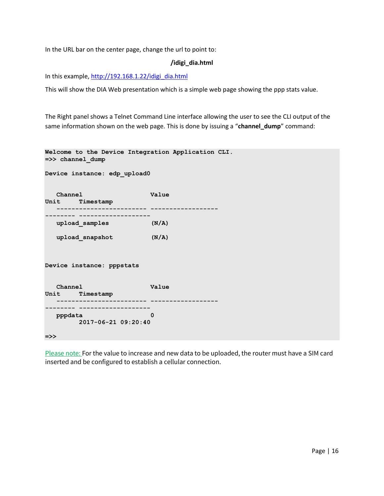In the URL bar on the center page, change the url to point to:

#### **/idigi\_dia.html**

In this example, [http://192.168.1.22/idigi\\_dia.html](http://192.168.1.22/idigi_dia.html)

This will show the DIA Web presentation which is a simple web page showing the ppp stats value.

The Right panel shows a Telnet Command Line interface allowing the user to see the CLI output of the same information shown on the web page. This is done by issuing a "**channel\_dump**" command:

```
Welcome to the Device Integration Application CLI.
=>> channel_dump
Device instance: edp_upload0 
   Channel Value 
Unit Timestamp 
      ------------------------ ------------------
-------- -------------------
   upload_samples (N/A) 
   upload_snapshot (N/A) 
Device instance: pppstats 
   Channel Value 
Unit Timestamp 
    ------------------------ ------------------
  -------- -------------------
   pppdata 0 
    2017-06-21 09:20:40
=>>
```
Please note: For the value to increase and new data to be uploaded, the router must have a SIM card inserted and be configured to establish a cellular connection.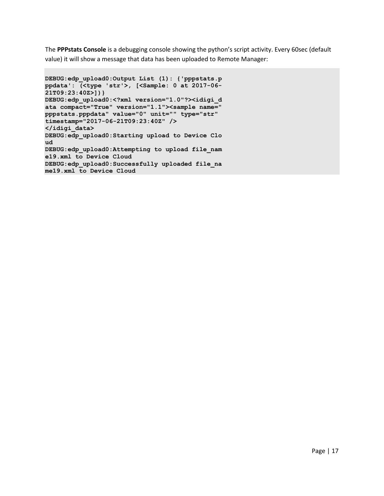The **PPPstats Console** is a debugging console showing the python's script activity. Every 60sec (default value) it will show a message that data has been uploaded to Remote Manager:

```
DEBUG:edp_upload0:Output List (1): {'pppstats.p
ppdata': (<type 'str'>, [<Sample: 0 at 2017-06-
21T09:23:40Z>])}
DEBUG:edp_upload0:<?xml version="1.0"?><idigi_d
ata compact="True" version="1.1"><sample name="
pppstats.pppdata" value="0" unit="" type="str" 
timestamp="2017-06-21T09:23:40Z" />
</idigi_data>
DEBUG:edp_upload0:Starting upload to Device Clo
ud
DEBUG:edp_upload0:Attempting to upload file_nam
e19.xml to Device Cloud
DEBUG:edp_upload0:Successfully uploaded file_na
me19.xml to Device Cloud
```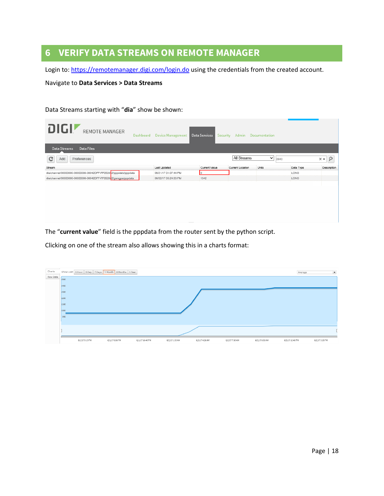# <span id="page-17-0"></span>**6 VERIFY DATA STREAMS ON REMOTE MANAGER**

Login to:<https://remotemanager.digi.com/login.do> using the credentials from the created account.

Navigate to **Data Services > Data Streams**

#### Data Streams starting with "**dia**" show be shown:

| <b>DIGI</b> REMOTE MANAGER<br>Dashboard                          | <b>Device Management</b> | Data Services | Security Admin Documentation |                      |           |                                  |
|------------------------------------------------------------------|--------------------------|---------------|------------------------------|----------------------|-----------|----------------------------------|
| <b>Data Files</b><br>Data Streams                                |                          |               |                              |                      |           |                                  |
| c<br>Preferences<br>Add                                          |                          |               | All Streams                  | $\checkmark$<br>2842 |           | $\mathsf{P}$<br>$\times$ $\star$ |
| Stream                                                           | Last Updated             | Current Value | Current Location             | Units                | Data Type | Description                      |
| dia/channel/00000000-00000000-00042DFF-FF0528-2/pppstats/pppdata | 06/21/17 01:07:44 PM     |               |                              |                      | LONG      |                                  |
| dia/channel/00000000-00000000-00042DFF-FF0528-2/gsmgps/pppdata   | 06/02/17 05:24:53 PM     | 1342          |                              |                      | LONG      |                                  |
|                                                                  |                          |               |                              |                      |           |                                  |

The "**current value**" field is the pppdata from the router sent by the python script.

Clicking on one of the stream also allows showing this in a charts format: